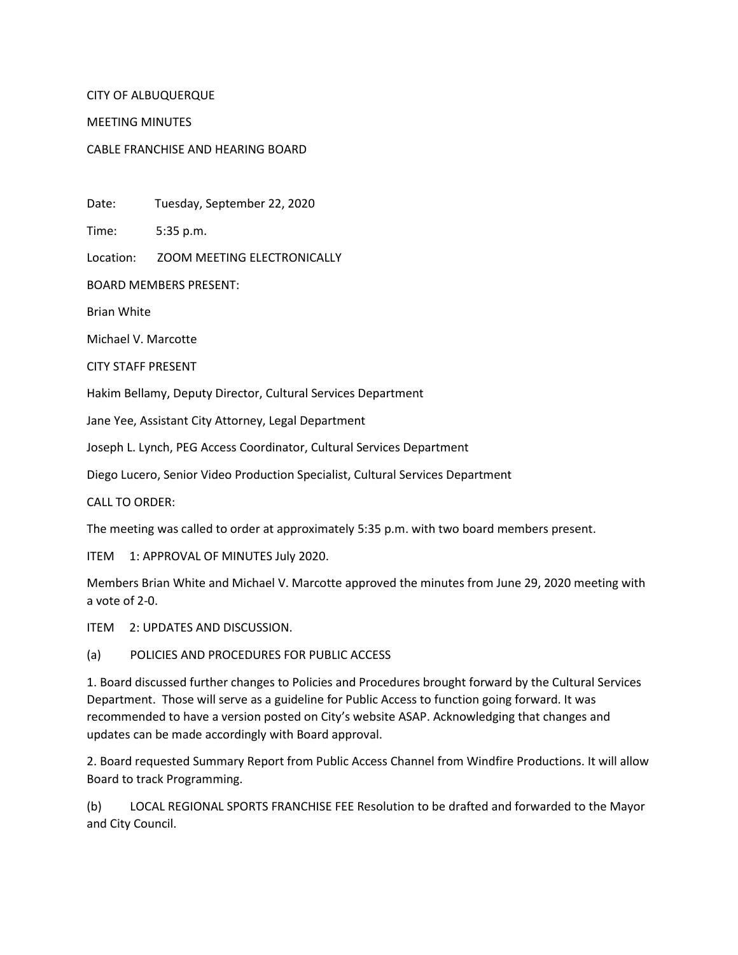## CITY OF ALBUQUERQUE

## MEETING MINUTES

## CABLE FRANCHISE AND HEARING BOARD

Date: Tuesday, September 22, 2020

Time: 5:35 p.m.

Location: ZOOM MEETING ELECTRONICALLY

BOARD MEMBERS PRESENT:

Brian White

Michael V. Marcotte

CITY STAFF PRESENT

Hakim Bellamy, Deputy Director, Cultural Services Department

Jane Yee, Assistant City Attorney, Legal Department

Joseph L. Lynch, PEG Access Coordinator, Cultural Services Department

Diego Lucero, Senior Video Production Specialist, Cultural Services Department

CALL TO ORDER:

The meeting was called to order at approximately 5:35 p.m. with two board members present.

ITEM 1: APPROVAL OF MINUTES July 2020.

Members Brian White and Michael V. Marcotte approved the minutes from June 29, 2020 meeting with a vote of 2-0.

ITEM 2: UPDATES AND DISCUSSION.

## (a) POLICIES AND PROCEDURES FOR PUBLIC ACCESS

1. Board discussed further changes to Policies and Procedures brought forward by the Cultural Services Department. Those will serve as a guideline for Public Access to function going forward. It was recommended to have a version posted on City's website ASAP. Acknowledging that changes and updates can be made accordingly with Board approval.

2. Board requested Summary Report from Public Access Channel from Windfire Productions. It will allow Board to track Programming.

(b) LOCAL REGIONAL SPORTS FRANCHISE FEE Resolution to be drafted and forwarded to the Mayor and City Council.